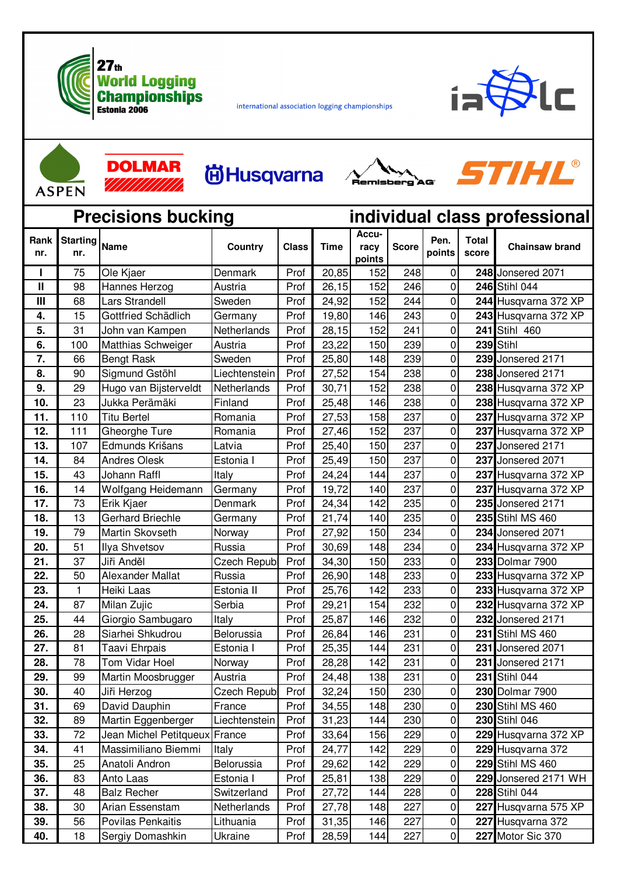

international association logging championships





**DOLMAR** 777777777777

| <b>尚Husqvarna</b> |
|-------------------|
|-------------------|





| <b>Precisions bucking</b> |                        |                         |                     |              | individual class professional |                         |              |                |                       |                       |
|---------------------------|------------------------|-------------------------|---------------------|--------------|-------------------------------|-------------------------|--------------|----------------|-----------------------|-----------------------|
| Rank<br>nr.               | <b>Starting</b><br>nr. | <b>Name</b>             | Country             | <b>Class</b> | <b>Time</b>                   | Accu-<br>racy<br>points | <b>Score</b> | Pen.<br>points | <b>Total</b><br>score | <b>Chainsaw brand</b> |
|                           | 75                     | Ole Kjaer               | Denmark             | Prof         | 20,85                         | 152                     | 248          | 0              |                       | 248 Jonsered 2071     |
| $\mathbf{II}$             | 98                     | Hannes Herzog           | Austria             | Prof         | 26, 15                        | 152                     | 246          | 0              |                       | 246 Stihl 044         |
| Ш                         | 68                     | Lars Strandell          | Sweden              | Prof         | 24,92                         | 152                     | 244          | 0              |                       | 244 Husqvarna 372 XP  |
| 4.                        | 15                     | Gottfried Schädlich     | Germany             | Prof         | 19,80                         | 146                     | 243          | 0              |                       | 243 Husqvarna 372 XP  |
| 5.                        | 31                     | John van Kampen         | Netherlands         | Prof         | 28,15                         | 152                     | 241          | 0              |                       | 241 Stihl 460         |
| 6.                        | 100                    | Matthias Schweiger      | Austria             | Prof         | 23,22                         | 150                     | 239          | 0              |                       | 239 Stihl             |
| 7.                        | 66                     | <b>Bengt Rask</b>       | Sweden              | Prof         | 25,80                         | 148                     | 239          | 0              |                       | 239 Jonsered 2171     |
| 8.                        | 90                     | Sigmund Gstöhl          | Liechtenstein       | Prof         | 27,52                         | 154                     | 238          | 0              |                       | 238 Jonsered 2171     |
| 9.                        | 29                     | Hugo van Bijsterveldt   | Netherlands         | Prof         | 30,71                         | 152                     | 238          | 0              |                       | 238 Husqvarna 372 XP  |
| 10.                       | 23                     | Jukka Perämäki          | Finland             | Prof         | 25,48                         | 146                     | 238          | 0              |                       | 238 Husqvarna 372 XP  |
| 11.                       | 110                    | <b>Titu Bertel</b>      | Romania             | Prof         | 27,53                         | 158                     | 237          | 0              |                       | 237 Husqvarna 372 XP  |
| 12.                       | 111                    | Gheorghe Ture           | Romania             | Prof         | 27,46                         | 152                     | 237          | 0              |                       | 237 Husqvarna 372 XP  |
| 13.                       | 107                    | Edmunds Krišans         | Latvia              | Prof         | 25,40                         | 150                     | 237          | 0              |                       | 237 Jonsered 2171     |
| 14.                       | 84                     | <b>Andres Olesk</b>     | Estonia I           | Prof         | 25,49                         | 150                     | 237          | 0              |                       | 237 Jonsered 2071     |
| 15.                       | 43                     | Johann Raffl            | Italy               | Prof         | 24,24                         | 144                     | 237          | 0              |                       | 237 Husqvarna 372 XP  |
| 16.                       | 14                     | Wolfgang Heidemann      | Germany             | Prof         | 19,72                         | 140                     | 237          | 0              |                       | 237 Husqvarna 372 XP  |
| 17.                       | 73                     | Erik Kjaer              | Denmark             | Prof         | 24,34                         | 142                     | 235          | 0              |                       | 235 Jonsered 2171     |
| 18.                       | 13                     | <b>Gerhard Briechle</b> | Germany             | Prof         | 21,74                         | 140                     | 235          | 0              |                       | 235 Stihl MS 460      |
| 19.                       | 79                     | Martin Skovseth         | Norway              | Prof         | 27,92                         | 150                     | 234          | 0              |                       | 234 Jonsered 2071     |
| 20.                       | 51                     | Ilya Shvetsov           | Russia              | Prof         | 30,69                         | 148                     | 234          | 0              |                       | 234 Husqvarna 372 XP  |
| 21.                       | 37                     | Jiři Anděl              | <b>Czech Republ</b> | Prof         | 34,30                         | 150                     | 233          | 0              |                       | 233 Dolmar 7900       |
| 22.                       | 50                     | <b>Alexander Mallat</b> | Russia              | Prof         | 26,90                         | 148                     | 233          | 0              |                       | 233 Husqvarna 372 XP  |
| 23.                       | 1                      | Heiki Laas              | Estonia II          | Prof         | 25,76                         | 142                     | 233          | 0              |                       | 233 Husqvarna 372 XP  |
| 24.                       | 87                     | Milan Zujic             | Serbia              | Prof         | 29,21                         | 154                     | 232          | 0              |                       | 232 Husqvarna 372 XP  |
| 25.                       | 44                     | Giorgio Sambugaro       | Italy               | Prof         | 25,87                         | 146                     | 232          | 0              |                       | 232 Jonsered 2171     |
| 26.                       | 28                     | Siarhei Shkudrou        | Belorussia          | Prof         | 26,84                         | 146                     | 231          | 0              |                       | 231 Stihl MS 460      |
| 27.                       | 81                     | Taavi Ehrpais           | Estonia I           | Prof         | 25,35                         | 144                     | 231          | 0              |                       | 231 Jonsered 2071     |
| 28.                       | 78                     | Tom Vidar Hoel          | Norway              | Prof         | 28,28                         | 142                     | 231          | $\overline{0}$ |                       | 231 Jonsered 2171     |
| 29.                       | 99                     | Martin Moosbrugger      | Austria             | Prof         | 24,48                         | 138                     | 231          | 0              |                       | 231 Stihl 044         |
| 30.                       | 40                     | Jiři Herzog             | Czech Republ        | Prof         | 32,24                         | 150                     | 230          | 0              |                       | 230 Dolmar 7900       |
| 31.                       | 69                     | David Dauphin           | France              | Prof         | 34,55                         | 148                     | 230          | 0              |                       | 230 Stihl MS 460      |
| 32.                       | 89                     | Martin Eggenberger      | Liechtenstein       | Prof         | 31,23                         | 144                     | 230          | 0              |                       | 230 Stihl 046         |
| 33.                       | 72                     | Jean Michel Petitqueux  | France              | Prof         | 33,64                         | 156                     | 229          | 0              |                       | 229 Husqvarna 372 XP  |
| 34.                       | 41                     | Massimiliano Biemmi     | Italy               | Prof         | 24,77                         | 142                     | 229          | 0              |                       | 229 Husqvarna 372     |
| 35.                       | 25                     | Anatoli Andron          | Belorussia          | Prof         | 29,62                         | 142                     | 229          | 0              |                       | 229 Stihl MS 460      |
| 36.                       | 83                     | Anto Laas               | Estonia I           | Prof         | 25,81                         | 138                     | 229          | 0              |                       | 229 Jonsered 2171 WH  |
| 37.                       | 48                     | <b>Balz Recher</b>      | Switzerland         | Prof         | 27,72                         | 144                     | 228          | 0              |                       | 228 Stihl 044         |
| 38.                       | 30                     | Arian Essenstam         | Netherlands         | Prof         | 27,78                         | 148                     | 227          | 0              |                       | 227 Husqvarna 575 XP  |
| 39.                       | 56                     | Povilas Penkaitis       | Lithuania           | Prof         | 31,35                         | 146                     | 227          | $\pmb{0}$      |                       | 227 Husqvarna 372     |
| 40.                       | 18                     | Sergiy Domashkin        | Ukraine             | Prof         | 28,59                         | 144                     | 227          | $\overline{0}$ |                       | 227 Motor Sic 370     |